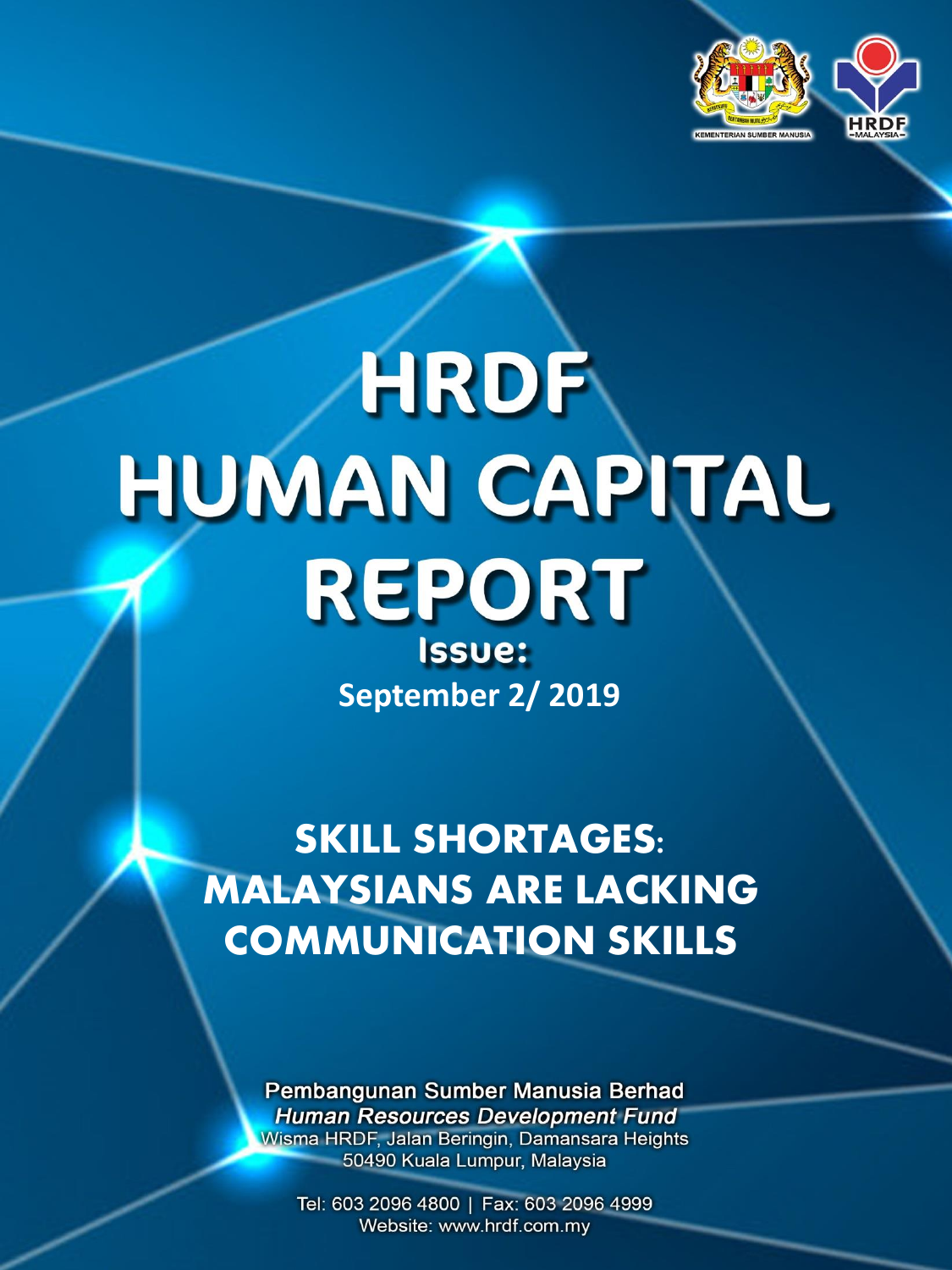

# HRDF HUMAN CAPITAL **REPORT** Issue: **September 2/ 2019**

**SKILL SHORTAGES: MALAYSIANS ARE LACKING COMMUNICATION SKILLS**

> Pembangunan Sumber Manusia Berhad **Human Resources Development Fund** Wisma HRDF, Jalan Beringin, Damansara Heights 50490 Kuala Lumpur, Malaysia

Tel: 603 2096 4800 | Fax: 603 2096 4999 Website: www.hrdf.com.my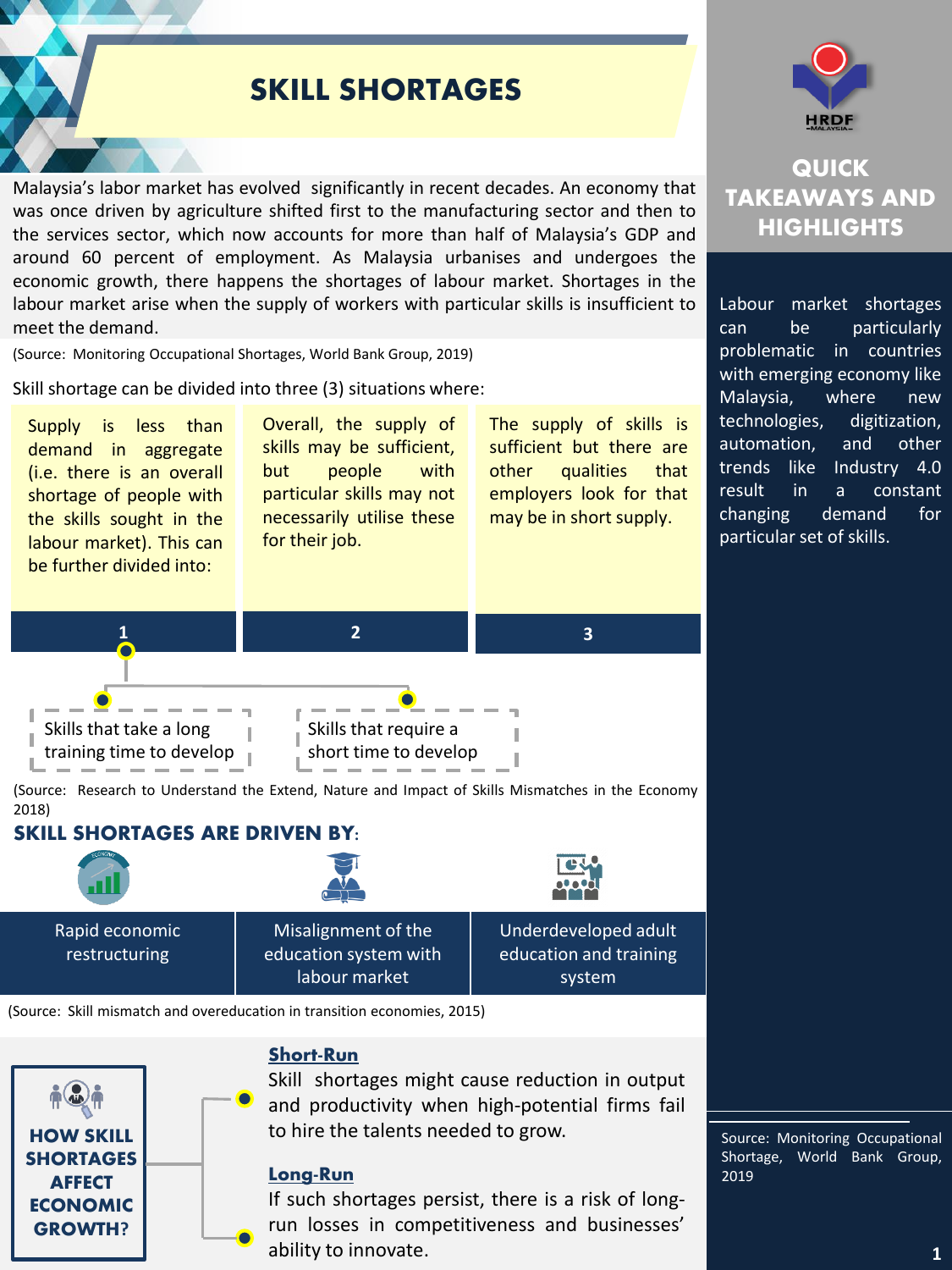# **SKILL SHORTAGES**

Malaysia's labor market has evolved significantly in recent decades. An economy that was once driven by agriculture shifted first to the manufacturing sector and then to the services sector, which now accounts for more than half of Malaysia's GDP and around 60 percent of employment. As Malaysia urbanises and undergoes the economic growth, there happens the shortages of labour market. Shortages in the labour market arise when the supply of workers with particular skills is insufficient to meet the demand.

(Source: Monitoring Occupational Shortages, World Bank Group, 2019)

Skill shortage can be divided into three (3) situations where:





(Source: Skill mismatch and overeducation in transition economies, 2015)



#### Short-Run

Skill shortages might cause reduction in output and productivity when high-potential firms fail to hire the talents needed to grow.

#### Long-Run

If such shortages persist, there is a risk of longrun losses in competitiveness and businesses' ability to innovate.



## **QUICK TAKEAWAYS AND HIGHLIGHTS**

Labour market shortages can be particularly problematic in countries with emerging economy like Malaysia, where new technologies, digitization, automation, and other trends like Industry 4.0 result in a constant changing demand for particular set of skills.

Source: Monitoring Occupational Shortage, World Bank Group, 2019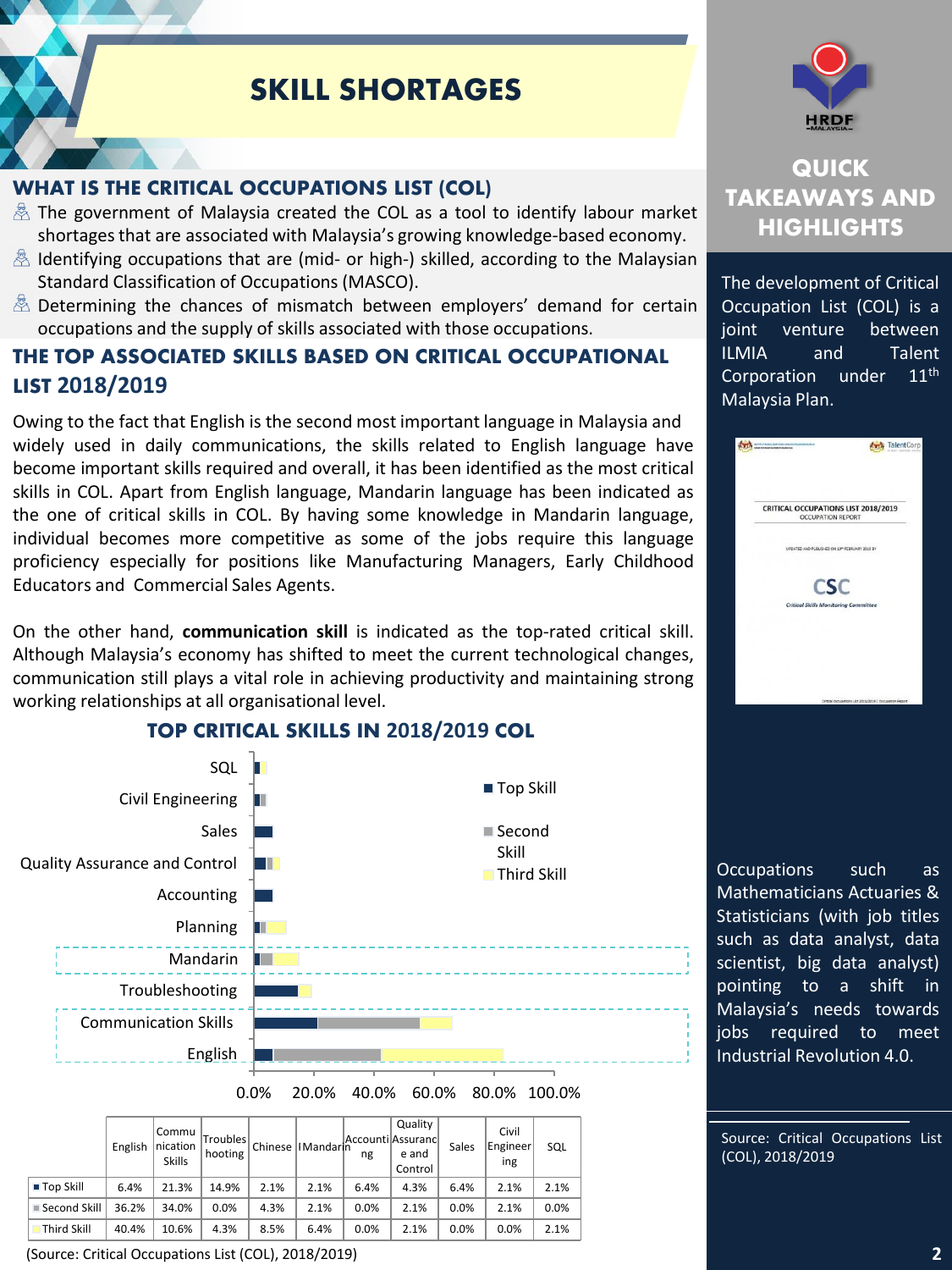# **SKILL SHORTAGES**

## WHAT IS THE CRITICAL OCCUPATIONS **LIST (COL)**

- $\frac{1}{20}$  The government of Malaysia created the COL as a tool to identify labour market shortagesthat are associated with Malaysia's growing knowledge-based economy.
- $\&$  Identifying occupations that are (mid- or high-) skilled, according to the Malaysian Standard Classification of Occupations (MASCO).
- Determining the chances of mismatch between employers' demand for certain occupations and the supply of skills associated with those occupations.

### THE TOP ASSOCIATED SKILLS BASED ON CRITICAL OCCUPATIONAL LIST **2018/2019**

Owing to the fact that English is the second most important language in Malaysia and widely used in daily communications, the skills related to English language have become important skills required and overall, it has been identified as the most critical skills in COL. Apart from English language, Mandarin language has been indicated as the one of critical skills in COL. By having some knowledge in Mandarin language, individual becomes more competitive as some of the jobs require this language proficiency especially for positions like Manufacturing Managers, Early Childhood Educators and Commercial Sales Agents.

On the other hand, **communication skill** is indicated as the top-rated critical skill. Although Malaysia's economy has shifted to meet the current technological changes, communication still plays a vital role in achieving productivity and maintaining strong working relationships at all organisational level.



#### **TOP CRITICAL SKILLS IN 2018/2019 COL**

English Commu nication Skills Troubles Froubles Chinese HMandarin<br>hooting Chinese HMandarin ng e and ng Quality  $M$ andar $\begin{vmatrix} 1 & 1 & 1 \\ 0 & 1 & 1 \\ 0 & 0 & 0 \end{vmatrix}$  e and Control Sales Civil Engineer ing SQL Top Skill 6.4% 21.3% 14.9% 2.1% 2.1% 6.4% 4.3% 6.4% 2.1% 2.1% Second Skill | 36.2% | 34.0% | 0.0% | 4.3% | 2.1% | 0.0% | 2.1% | 0.0% | 2.1% | 0.0% Third Skill 40.4% 10.6% 4.3% 8.5% 6.4% 0.0% 2.1% 0.0% 0.0% 2.1%

(Source: Critical Occupations List (COL), 2018/2019)



## **QUICK TAKEAWAYS AND HIGHLIGHTS**

The development of Critical Occupation List (COL) is a joint venture between ILMIA and Talent Corporation under 11<sup>th</sup> Malaysia Plan.



Occupations such as Mathematicians Actuaries & Statisticians (with job titles such as data analyst, data scientist, big data analyst) pointing to a shift in Malaysia's needs towards jobs required to meet Industrial Revolution 4.0.

Source: Critical Occupations List (COL), 2018/2019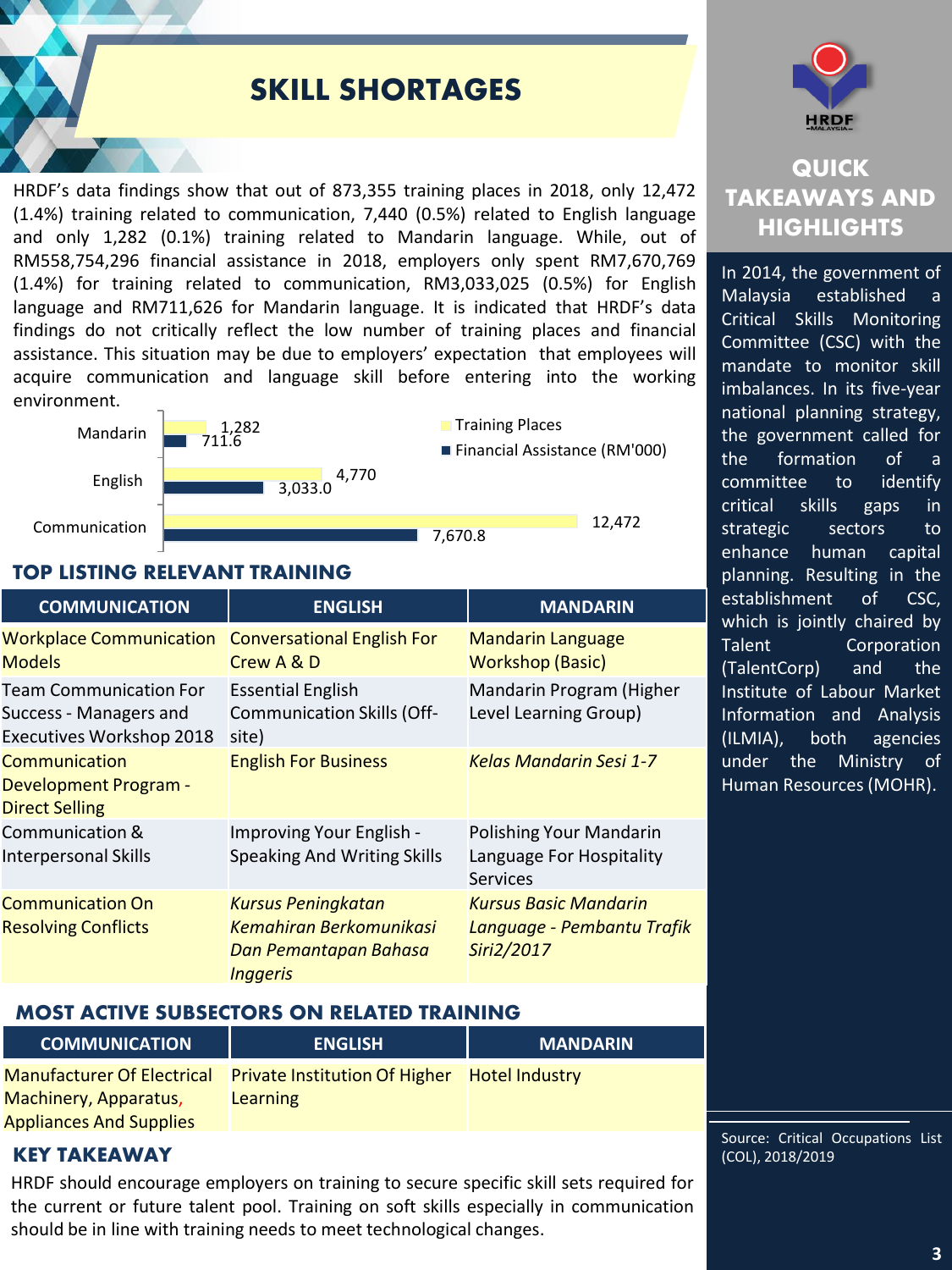# **SKILL SHORTAGES**

HRDF's data findings show that out of 873,355 training places in 2018, only 12,472 (1.4%) training related to communication, 7,440 (0.5%) related to English language and only 1,282 (0.1%) training related to Mandarin language. While, out of RM558,754,296 financial assistance in 2018, employers only spent RM7,670,769 (1.4%) for training related to communication, RM3,033,025 (0.5%) for English language and RM711,626 for Mandarin language. It is indicated that HRDF's data findings do not critically reflect the low number of training places and financial assistance. This situation may be due to employers' expectation that employees will acquire communication and language skill before entering into the working environment.



#### TOP LISTING RELEVANT TRAINING

| <b>COMMUNICATION</b>                                                                | <b>ENGLISH</b>                                                                                          | <b>MANDARIN</b>                                                          |
|-------------------------------------------------------------------------------------|---------------------------------------------------------------------------------------------------------|--------------------------------------------------------------------------|
| <b>Workplace Communication</b><br><b>Models</b>                                     | <b>Conversational English For</b><br>Crew A & D                                                         | <b>Mandarin Language</b><br><b>Workshop (Basic)</b>                      |
| <b>Team Communication For</b><br>Success - Managers and<br>Executives Workshop 2018 | <b>Essential English</b><br><b>Communication Skills (Off-</b><br>site)                                  | Mandarin Program (Higher<br>Level Learning Group)                        |
| Communication<br><b>Development Program -</b><br><b>Direct Selling</b>              | <b>English For Business</b>                                                                             | <b>Kelas Mandarin Sesi 1-7</b>                                           |
| Communication &<br><b>Interpersonal Skills</b>                                      | Improving Your English -<br><b>Speaking And Writing Skills</b>                                          | Polishing Your Mandarin<br>Language For Hospitality<br>Services          |
| <b>Communication On</b><br><b>Resolving Conflicts</b>                               | <b>Kursus Peningkatan</b><br><b>Kemahiran Berkomunikasi</b><br>Dan Pemantapan Bahasa<br><b>Inggeris</b> | <b>Kursus Basic Mandarin</b><br>Language - Pembantu Trafik<br>Siri2/2017 |

#### MOST ACTIVE SUBSECTORS ON RELATED TRAINING

| <b>COMMUNICATION</b>           | <b>ENGLISH</b>                                                          | <b>MANDARIN</b> |
|--------------------------------|-------------------------------------------------------------------------|-----------------|
|                                | Manufacturer Of Electrical Private Institution Of Higher Hotel Industry |                 |
| Machinery, Apparatus,          | <b>Learning</b>                                                         |                 |
| <b>Appliances And Supplies</b> |                                                                         |                 |

#### KEY TAKEAWAY (COL), 2018/2019

HRDF should encourage employers on training to secure specific skill sets required for the current or future talent pool. Training on soft skills especially in communication should be in line with training needs to meet technological changes.



## **QUICK TAKEAWAYS AND HIGHLIGHTS**

In 2014, the government of Malaysia established Critical Skills Monitoring Committee (CSC) with the mandate to monitor skill imbalances. In its five-year national planning strategy, the government called for the formation of a committee to identify critical skills gaps in strategic sectors to enhance human capital planning. Resulting in the establishment of CSC, which is jointly chaired by Talent Corporation (TalentCorp) and the Institute of Labour Market Information and Analysis (ILMIA), both agencies under the Ministry of Human Resources (MOHR).

Source: Critical Occupations List